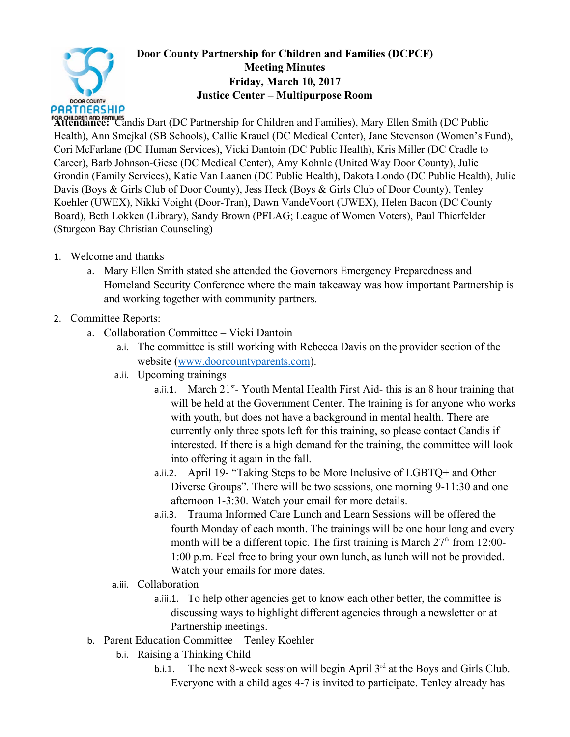

## **Door County Partnership for Children and Families (DCPCF) Meeting Minutes Friday, March 10, 2017 Justice Center – Multipurpose Room**

FOR CHILDREN AND FAMILIES<br>Attendance: Candis Dart (DC Partnership for Children and Families), Mary Ellen Smith (DC Public Health), Ann Smejkal (SB Schools), Callie Krauel (DC Medical Center), Jane Stevenson (Women's Fund), Cori McFarlane (DC Human Services), Vicki Dantoin (DC Public Health), Kris Miller (DC Cradle to Career), Barb Johnson-Giese (DC Medical Center), Amy Kohnle (United Way Door County), Julie Grondin (Family Services), Katie Van Laanen (DC Public Health), Dakota Londo (DC Public Health), Julie Davis (Boys & Girls Club of Door County), Jess Heck (Boys & Girls Club of Door County), Tenley Koehler (UWEX), Nikki Voight (Door-Tran), Dawn VandeVoort (UWEX), Helen Bacon (DC County Board), Beth Lokken (Library), Sandy Brown (PFLAG; League of Women Voters), Paul Thierfelder (Sturgeon Bay Christian Counseling)

- 1. Welcome and thanks
	- a. Mary Ellen Smith stated she attended the Governors Emergency Preparedness and Homeland Security Conference where the main takeaway was how important Partnership is and working together with community partners.
- 2. Committee Reports:
	- a. Collaboration Committee Vicki Dantoin
		- a.i. The committee is still working with Rebecca Davis on the provider section of the website (www.doorcountyparents.com).
		- a.ii. Upcoming trainings
			- a.ii.1. March  $21^{st}$  Youth Mental Health First Aid- this is an 8 hour training that will be held at the Government Center. The training is for anyone who works with youth, but does not have a background in mental health. There are currently only three spots left for this training, so please contact Candis if interested. If there is a high demand for the training, the committee will look into offering it again in the fall.
			- a.ii.2. April 19- "Taking Steps to be More Inclusive of LGBTQ+ and Other Diverse Groups". There will be two sessions, one morning 9-11:30 and one afternoon 1-3:30. Watch your email for more details.
			- a.ii.3. Trauma Informed Care Lunch and Learn Sessions will be offered the fourth Monday of each month. The trainings will be one hour long and every month will be a different topic. The first training is March  $27<sup>th</sup>$  from 12:00-1:00 p.m. Feel free to bring your own lunch, as lunch will not be provided. Watch your emails for more dates.
		- a.iii. Collaboration
			- a.iii.1. To help other agencies get to know each other better, the committee is discussing ways to highlight different agencies through a newsletter or at Partnership meetings.
	- b. Parent Education Committee Tenley Koehler
		- b.i. Raising a Thinking Child
			- b.i.1. The next 8-week session will begin April  $3<sup>rd</sup>$  at the Boys and Girls Club. Everyone with a child ages 4-7 is invited to participate. Tenley already has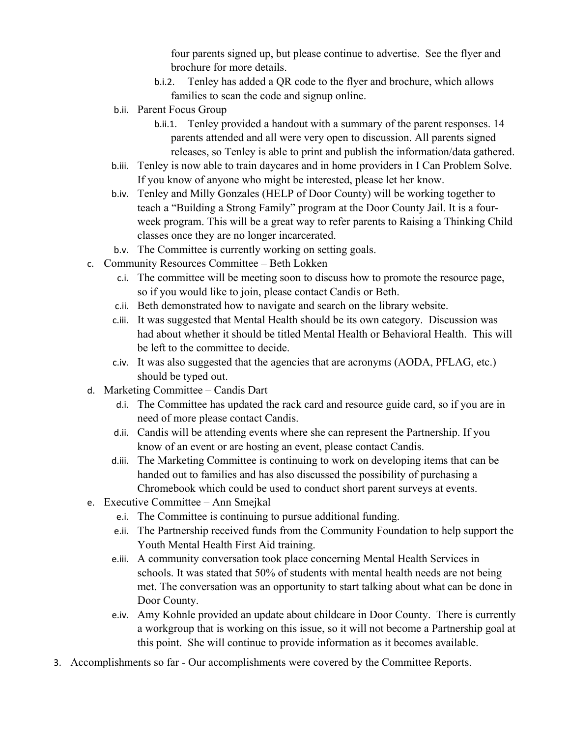four parents signed up, but please continue to advertise. See the flyer and brochure for more details.

- b.i.2. Tenley has added a QR code to the flyer and brochure, which allows families to scan the code and signup online.
- b.ii. Parent Focus Group
	- b.ii.1. Tenley provided a handout with a summary of the parent responses. 14 parents attended and all were very open to discussion. All parents signed releases, so Tenley is able to print and publish the information/data gathered.
- b.iii. Tenley is now able to train daycares and in home providers in I Can Problem Solve. If you know of anyone who might be interested, please let her know.
- b.iv. Tenley and Milly Gonzales (HELP of Door County) will be working together to teach a "Building a Strong Family" program at the Door County Jail. It is a fourweek program. This will be a great way to refer parents to Raising a Thinking Child classes once they are no longer incarcerated.
- b.v. The Committee is currently working on setting goals.
- c. Community Resources Committee Beth Lokken
	- c.i. The committee will be meeting soon to discuss how to promote the resource page, so if you would like to join, please contact Candis or Beth.
	- c.ii. Beth demonstrated how to navigate and search on the library website.
	- c.iii. It was suggested that Mental Health should be its own category. Discussion was had about whether it should be titled Mental Health or Behavioral Health. This will be left to the committee to decide.
	- c.iv. It was also suggested that the agencies that are acronyms (AODA, PFLAG, etc.) should be typed out.
- d. Marketing Committee Candis Dart
	- d.i. The Committee has updated the rack card and resource guide card, so if you are in need of more please contact Candis.
	- d.ii. Candis will be attending events where she can represent the Partnership. If you know of an event or are hosting an event, please contact Candis.
	- d.iii. The Marketing Committee is continuing to work on developing items that can be handed out to families and has also discussed the possibility of purchasing a Chromebook which could be used to conduct short parent surveys at events.
- e. Executive Committee Ann Smejkal
	- e.i. The Committee is continuing to pursue additional funding.
	- e.ii. The Partnership received funds from the Community Foundation to help support the Youth Mental Health First Aid training.
	- e.iii. A community conversation took place concerning Mental Health Services in schools. It was stated that 50% of students with mental health needs are not being met. The conversation was an opportunity to start talking about what can be done in Door County.
	- e.iv. Amy Kohnle provided an update about childcare in Door County. There is currently a workgroup that is working on this issue, so it will not become a Partnership goal at this point. She will continue to provide information as it becomes available.
- 3. Accomplishments so far Our accomplishments were covered by the Committee Reports.